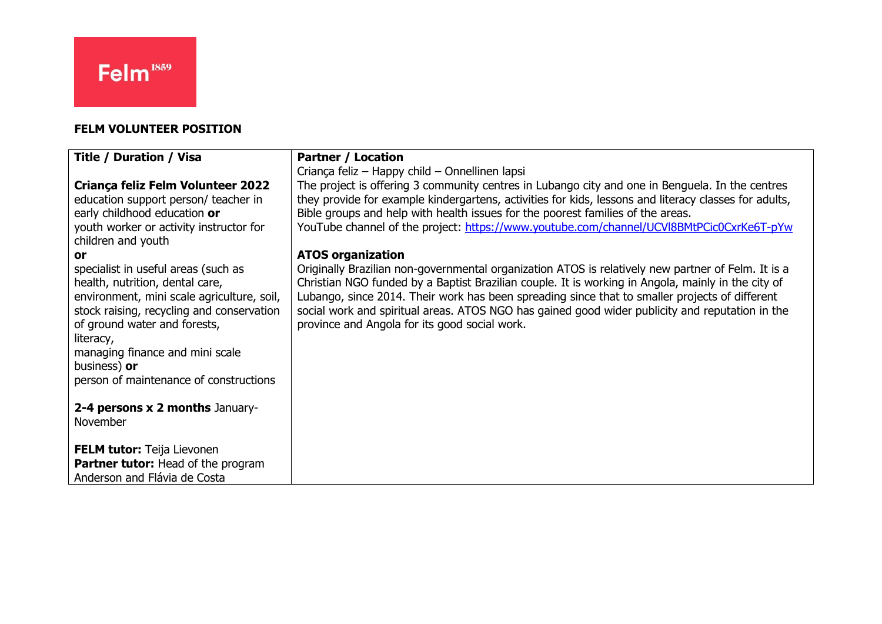## **FELM VOLUNTEER POSITION**

| <b>Title / Duration / Visa</b>                                                                                                                                                                                                                                                                              | <b>Partner / Location</b>                                                                                                                                                                                                                                                                                                                                                                                                                                      |
|-------------------------------------------------------------------------------------------------------------------------------------------------------------------------------------------------------------------------------------------------------------------------------------------------------------|----------------------------------------------------------------------------------------------------------------------------------------------------------------------------------------------------------------------------------------------------------------------------------------------------------------------------------------------------------------------------------------------------------------------------------------------------------------|
|                                                                                                                                                                                                                                                                                                             | Criança feliz – Happy child – Onnellinen lapsi                                                                                                                                                                                                                                                                                                                                                                                                                 |
| Criança feliz Felm Volunteer 2022<br>education support person/ teacher in<br>early childhood education or                                                                                                                                                                                                   | The project is offering 3 community centres in Lubango city and one in Benguela. In the centres<br>they provide for example kindergartens, activities for kids, lessons and literacy classes for adults,<br>Bible groups and help with health issues for the poorest families of the areas.                                                                                                                                                                    |
| youth worker or activity instructor for<br>children and youth                                                                                                                                                                                                                                               | YouTube channel of the project: https://www.youtube.com/channel/UCVI8BMtPCic0CxrKe6T-pYw                                                                                                                                                                                                                                                                                                                                                                       |
| or                                                                                                                                                                                                                                                                                                          | <b>ATOS organization</b>                                                                                                                                                                                                                                                                                                                                                                                                                                       |
| specialist in useful areas (such as<br>health, nutrition, dental care,<br>environment, mini scale agriculture, soil,<br>stock raising, recycling and conservation<br>of ground water and forests,<br>literacy,<br>managing finance and mini scale<br>business) or<br>person of maintenance of constructions | Originally Brazilian non-governmental organization ATOS is relatively new partner of Felm. It is a<br>Christian NGO funded by a Baptist Brazilian couple. It is working in Angola, mainly in the city of<br>Lubango, since 2014. Their work has been spreading since that to smaller projects of different<br>social work and spiritual areas. ATOS NGO has gained good wider publicity and reputation in the<br>province and Angola for its good social work. |
| 2-4 persons x 2 months January-<br>November                                                                                                                                                                                                                                                                 |                                                                                                                                                                                                                                                                                                                                                                                                                                                                |
| <b>FELM tutor:</b> Teija Lievonen<br><b>Partner tutor:</b> Head of the program<br>Anderson and Flávia de Costa                                                                                                                                                                                              |                                                                                                                                                                                                                                                                                                                                                                                                                                                                |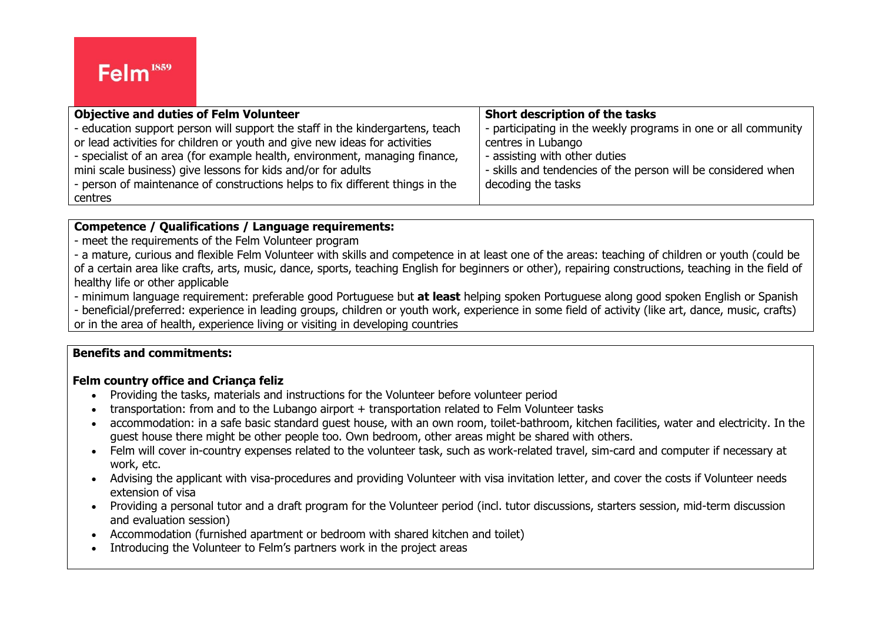| <b>Objective and duties of Felm Volunteer</b>                                 | Short description of the tasks                                 |
|-------------------------------------------------------------------------------|----------------------------------------------------------------|
| - education support person will support the staff in the kindergartens, teach | - participating in the weekly programs in one or all community |
| or lead activities for children or youth and give new ideas for activities    | centres in Lubango                                             |
| - specialist of an area (for example health, environment, managing finance,   | - assisting with other duties                                  |
| mini scale business) give lessons for kids and/or for adults                  | - skills and tendencies of the person will be considered when  |
| - person of maintenance of constructions helps to fix different things in the | decoding the tasks                                             |
| centres                                                                       |                                                                |

#### **Competence / Qualifications / Language requirements:**

- meet the requirements of the Felm Volunteer program

- a mature, curious and flexible Felm Volunteer with skills and competence in at least one of the areas: teaching of children or youth (could be of a certain area like crafts, arts, music, dance, sports, teaching English for beginners or other), repairing constructions, teaching in the field of healthy life or other applicable

- minimum language requirement: preferable good Portuguese but **at least** helping spoken Portuguese along good spoken English or Spanish

- beneficial/preferred: experience in leading groups, children or youth work, experience in some field of activity (like art, dance, music, crafts) or in the area of health, experience living or visiting in developing countries

## **Benefits and commitments:**

### **Felm country office and Criança feliz**

- Providing the tasks, materials and instructions for the Volunteer before volunteer period
- transportation: from and to the Lubango airport + transportation related to Felm Volunteer tasks
- accommodation: in a safe basic standard guest house, with an own room, toilet-bathroom, kitchen facilities, water and electricity. In the guest house there might be other people too. Own bedroom, other areas might be shared with others.
- Felm will cover in-country expenses related to the volunteer task, such as work-related travel, sim-card and computer if necessary at work, etc.
- Advising the applicant with visa-procedures and providing Volunteer with visa invitation letter, and cover the costs if Volunteer needs extension of visa
- Providing a personal tutor and a draft program for the Volunteer period (incl. tutor discussions, starters session, mid-term discussion and evaluation session)
- Accommodation (furnished apartment or bedroom with shared kitchen and toilet)
- Introducing the Volunteer to Felm's partners work in the project areas